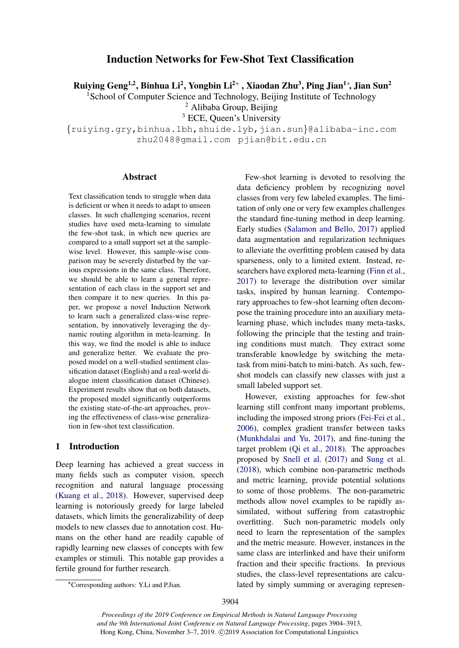# Induction Networks for Few-Shot Text Classification

Ruiying Geng<sup>1,2</sup>, Binhua Li<sup>2</sup>, Yongbin Li<sup>2</sup>\*, Xiaodan Zhu<sup>3</sup>, Ping Jian<sup>1</sup>\*, Jian Sun<sup>2</sup>

<sup>1</sup>School of Computer Science and Technology, Beijing Institute of Technology

<sup>2</sup> Alibaba Group, Beijing

<sup>3</sup> ECE, Queen's University

 $\{ruiying,qry, binhua.1bh, shuide.1yb, jian.sun\@alibaba-inc.com$ zhu2048@gmail.com pjian@bit.edu.cn

# Abstract

Text classification tends to struggle when data is deficient or when it needs to adapt to unseen classes. In such challenging scenarios, recent studies have used meta-learning to simulate the few-shot task, in which new queries are compared to a small support set at the samplewise level. However, this sample-wise comparison may be severely disturbed by the various expressions in the same class. Therefore, we should be able to learn a general representation of each class in the support set and then compare it to new queries. In this paper, we propose a novel Induction Network to learn such a generalized class-wise representation, by innovatively leveraging the dynamic routing algorithm in meta-learning. In this way, we find the model is able to induce and generalize better. We evaluate the proposed model on a well-studied sentiment classification dataset (English) and a real-world dialogue intent classification dataset (Chinese). Experiment results show that on both datasets, the proposed model significantly outperforms the existing state-of-the-art approaches, proving the effectiveness of class-wise generalization in few-shot text classification.

# 1 Introduction

Deep learning has achieved a great success in many fields such as computer vision, speech recognition and natural language processing [\(Kuang et al.,](#page-8-0) [2018\)](#page-8-0). However, supervised deep learning is notoriously greedy for large labeled datasets, which limits the generalizability of deep models to new classes due to annotation cost. Humans on the other hand are readily capable of rapidly learning new classes of concepts with few examples or stimuli. This notable gap provides a fertile ground for further research.

Few-shot learning is devoted to resolving the data deficiency problem by recognizing novel classes from very few labeled examples. The limitation of only one or very few examples challenges the standard fine-tuning method in deep learning. Early studies [\(Salamon and Bello,](#page-9-0) [2017\)](#page-9-0) applied data augmentation and regularization techniques to alleviate the overfitting problem caused by data sparseness, only to a limited extent. Instead, researchers have explored meta-learning [\(Finn et al.,](#page-8-1) [2017\)](#page-8-1) to leverage the distribution over similar tasks, inspired by human learning. Contemporary approaches to few-shot learning often decompose the training procedure into an auxiliary metalearning phase, which includes many meta-tasks, following the principle that the testing and training conditions must match. They extract some transferable knowledge by switching the metatask from mini-batch to mini-batch. As such, fewshot models can classify new classes with just a small labeled support set.

However, existing approaches for few-shot learning still confront many important problems, including the imposed strong priors [\(Fei-Fei et al.,](#page-8-2) [2006\)](#page-8-2), complex gradient transfer between tasks [\(Munkhdalai and Yu,](#page-8-3) [2017\)](#page-8-3), and fine-tuning the target problem [\(Qi et al.,](#page-8-4) [2018\)](#page-8-4). The approaches proposed by [Snell et al.](#page-9-1) [\(2017\)](#page-9-1) and [Sung et al.](#page-9-2) [\(2018\)](#page-9-2), which combine non-parametric methods and metric learning, provide potential solutions to some of those problems. The non-parametric methods allow novel examples to be rapidly assimilated, without suffering from catastrophic overfitting. Such non-parametric models only need to learn the representation of the samples and the metric measure. However, instances in the same class are interlinked and have their uniform fraction and their specific fractions. In previous studies, the class-level representations are calculated by simply summing or averaging represen-

<sup>∗</sup>Corresponding authors: Y.Li and P.Jian.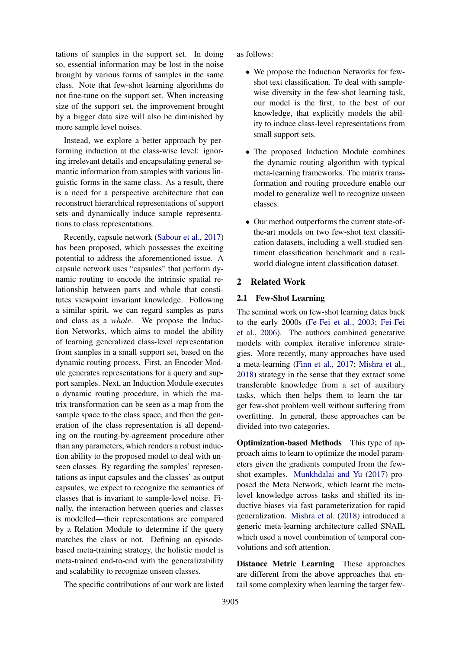tations of samples in the support set. In doing so, essential information may be lost in the noise brought by various forms of samples in the same class. Note that few-shot learning algorithms do not fine-tune on the support set. When increasing size of the support set, the improvement brought by a bigger data size will also be diminished by more sample level noises.

Instead, we explore a better approach by performing induction at the class-wise level: ignoring irrelevant details and encapsulating general semantic information from samples with various linguistic forms in the same class. As a result, there is a need for a perspective architecture that can reconstruct hierarchical representations of support sets and dynamically induce sample representations to class representations.

Recently, capsule network [\(Sabour et al.,](#page-8-5) [2017\)](#page-8-5) has been proposed, which possesses the exciting potential to address the aforementioned issue. A capsule network uses "capsules" that perform dynamic routing to encode the intrinsic spatial relationship between parts and whole that constitutes viewpoint invariant knowledge. Following a similar spirit, we can regard samples as parts and class as a *whole*. We propose the Induction Networks, which aims to model the ability of learning generalized class-level representation from samples in a small support set, based on the dynamic routing process. First, an Encoder Module generates representations for a query and support samples. Next, an Induction Module executes a dynamic routing procedure, in which the matrix transformation can be seen as a map from the sample space to the class space, and then the generation of the class representation is all depending on the routing-by-agreement procedure other than any parameters, which renders a robust induction ability to the proposed model to deal with unseen classes. By regarding the samples' representations as input capsules and the classes' as output capsules, we expect to recognize the semantics of classes that is invariant to sample-level noise. Finally, the interaction between queries and classes is modelled—their representations are compared by a Relation Module to determine if the query matches the class or not. Defining an episodebased meta-training strategy, the holistic model is meta-trained end-to-end with the generalizability and scalability to recognize unseen classes.

The specific contributions of our work are listed

as follows:

- We propose the Induction Networks for fewshot text classification. To deal with samplewise diversity in the few-shot learning task, our model is the first, to the best of our knowledge, that explicitly models the ability to induce class-level representations from small support sets.
- The proposed Induction Module combines the dynamic routing algorithm with typical meta-learning frameworks. The matrix transformation and routing procedure enable our model to generalize well to recognize unseen classes.
- Our method outperforms the current state-ofthe-art models on two few-shot text classification datasets, including a well-studied sentiment classification benchmark and a realworld dialogue intent classification dataset.

# 2 Related Work

### 2.1 Few-Shot Learning

The seminal work on few-shot learning dates back to the early 2000s [\(Fe-Fei et al.,](#page-8-6) [2003;](#page-8-6) [Fei-Fei](#page-8-2) [et al.,](#page-8-2) [2006\)](#page-8-2). The authors combined generative models with complex iterative inference strategies. More recently, many approaches have used a meta-learning [\(Finn et al.,](#page-8-1) [2017;](#page-8-1) [Mishra et al.,](#page-8-7) [2018\)](#page-8-7) strategy in the sense that they extract some transferable knowledge from a set of auxiliary tasks, which then helps them to learn the target few-shot problem well without suffering from overfitting. In general, these approaches can be divided into two categories.

Optimization-based Methods This type of approach aims to learn to optimize the model parameters given the gradients computed from the fewshot examples. [Munkhdalai and Yu](#page-8-3) [\(2017\)](#page-8-3) proposed the Meta Network, which learnt the metalevel knowledge across tasks and shifted its inductive biases via fast parameterization for rapid generalization. [Mishra et al.](#page-8-7) [\(2018\)](#page-8-7) introduced a generic meta-learning architecture called SNAIL which used a novel combination of temporal convolutions and soft attention.

Distance Metric Learning These approaches are different from the above approaches that entail some complexity when learning the target few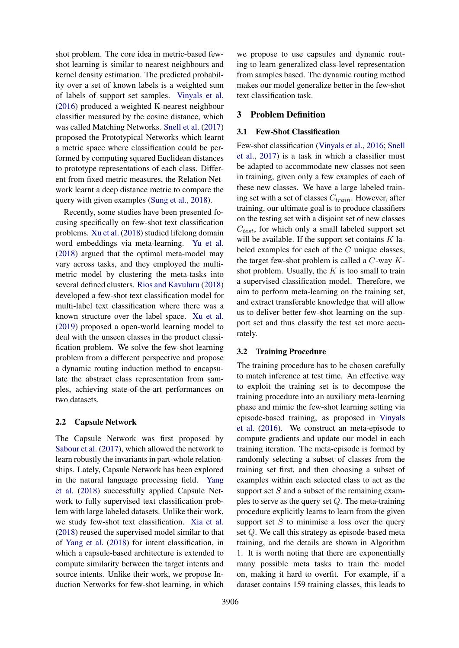shot problem. The core idea in metric-based fewshot learning is similar to nearest neighbours and kernel density estimation. The predicted probability over a set of known labels is a weighted sum of labels of support set samples. [Vinyals et al.](#page-9-3) [\(2016\)](#page-9-3) produced a weighted K-nearest neighbour classifier measured by the cosine distance, which was called Matching Networks. [Snell et al.](#page-9-1) [\(2017\)](#page-9-1) proposed the Prototypical Networks which learnt a metric space where classification could be performed by computing squared Euclidean distances to prototype representations of each class. Different from fixed metric measures, the Relation Network learnt a deep distance metric to compare the query with given examples [\(Sung et al.,](#page-9-2) [2018\)](#page-9-2).

Recently, some studies have been presented focusing specifically on few-shot text classification problems. [Xu et al.](#page-9-4) [\(2018\)](#page-9-4) studied lifelong domain word embeddings via meta-learning. [Yu et al.](#page-9-5) [\(2018\)](#page-9-5) argued that the optimal meta-model may vary across tasks, and they employed the multimetric model by clustering the meta-tasks into several defined clusters. [Rios and Kavuluru](#page-8-8) [\(2018\)](#page-8-8) developed a few-shot text classification model for multi-label text classification where there was a known structure over the label space. [Xu et al.](#page-9-6) [\(2019\)](#page-9-6) proposed a open-world learning model to deal with the unseen classes in the product classification problem. We solve the few-shot learning problem from a different perspective and propose a dynamic routing induction method to encapsulate the abstract class representation from samples, achieving state-of-the-art performances on two datasets.

# 2.2 Capsule Network

The Capsule Network was first proposed by [Sabour et al.](#page-8-5) [\(2017\)](#page-8-5), which allowed the network to learn robustly the invariants in part-whole relationships. Lately, Capsule Network has been explored in the natural language processing field. [Yang](#page-9-7) [et al.](#page-9-7) [\(2018\)](#page-9-7) successfully applied Capsule Network to fully supervised text classification problem with large labeled datasets. Unlike their work, we study few-shot text classification. [Xia et al.](#page-9-8) [\(2018\)](#page-9-8) reused the supervised model similar to that of [Yang et al.](#page-9-7) [\(2018\)](#page-9-7) for intent classification, in which a capsule-based architecture is extended to compute similarity between the target intents and source intents. Unlike their work, we propose Induction Networks for few-shot learning, in which

we propose to use capsules and dynamic routing to learn generalized class-level representation from samples based. The dynamic routing method makes our model generalize better in the few-shot text classification task.

# 3 Problem Definition

### 3.1 Few-Shot Classification

Few-shot classification [\(Vinyals et al.,](#page-9-3) [2016;](#page-9-3) [Snell](#page-9-1) [et al.,](#page-9-1) [2017\)](#page-9-1) is a task in which a classifier must be adapted to accommodate new classes not seen in training, given only a few examples of each of these new classes. We have a large labeled training set with a set of classes  $C_{train}$ . However, after training, our ultimate goal is to produce classifiers on the testing set with a disjoint set of new classes  $C_{test}$ , for which only a small labeled support set will be available. If the support set contains  $K$  labeled examples for each of the C unique classes, the target few-shot problem is called a  $C$ -way  $K$ shot problem. Usually, the  $K$  is too small to train a supervised classification model. Therefore, we aim to perform meta-learning on the training set, and extract transferable knowledge that will allow us to deliver better few-shot learning on the support set and thus classify the test set more accurately.

# 3.2 Training Procedure

The training procedure has to be chosen carefully to match inference at test time. An effective way to exploit the training set is to decompose the training procedure into an auxiliary meta-learning phase and mimic the few-shot learning setting via episode-based training, as proposed in [Vinyals](#page-9-3) [et al.](#page-9-3) [\(2016\)](#page-9-3). We construct an meta-episode to compute gradients and update our model in each training iteration. The meta-episode is formed by randomly selecting a subset of classes from the training set first, and then choosing a subset of examples within each selected class to act as the support set  $S$  and a subset of the remaining examples to serve as the query set  $Q$ . The meta-training procedure explicitly learns to learn from the given support set  $S$  to minimise a loss over the query set Q. We call this strategy as episode-based meta training, and the details are shown in Algorithm 1. It is worth noting that there are exponentially many possible meta tasks to train the model on, making it hard to overfit. For example, if a dataset contains 159 training classes, this leads to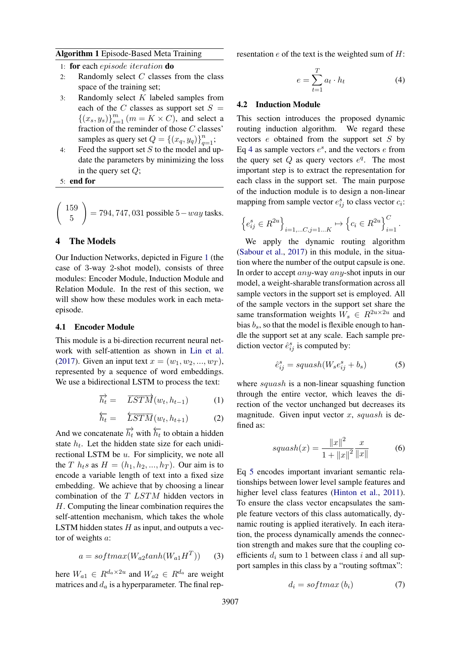### Algorithm 1 Episode-Based Meta Training

- 1: for each episode iteration do
- 2: Randomly select  $C$  classes from the class space of the training set;
- 3: Randomly select  $K$  labeled samples from each of the C classes as support set  $S =$  $\{(x_s, y_s)\}_{s=1}^m$   $(m = K \times C)$ , and select a fraction of the reminder of those C classes' samples as query set  $Q = \{(x_q, y_q)\}_{q=1}^n$ ;
- 4: Feed the support set  $S$  to the model and update the parameters by minimizing the loss in the query set  $Q$ ;

5: end for

$$
\left(\begin{array}{c} 159\\5 \end{array}\right) = 794, 747, 031 \text{ possible } 5 - way \text{ tasks.}
$$

# 4 The Models

Our Induction Networks, depicted in Figure [1](#page-4-0) (the case of 3-way 2-shot model), consists of three modules: Encoder Module, Induction Module and Relation Module. In the rest of this section, we will show how these modules work in each metaepisode.

# 4.1 Encoder Module

This module is a bi-direction recurrent neural network with self-attention as shown in [Lin et al.](#page-8-9) [\(2017\)](#page-8-9). Given an input text  $x = (w_1, w_2, ..., w_T)$ , represented by a sequence of word embeddings. We use a bidirectional LSTM to process the text:

$$
\overrightarrow{h_t} = \overrightarrow{LSTM}(w_t, h_{t-1}) \tag{1}
$$

$$
\overleftarrow{h_t} = \overleftarrow{LSTM}(w_t, h_{t+1}) \tag{2}
$$

And we concatenate  $\overrightarrow{h_t}$  with  $\overleftarrow{h_t}$  to obtain a hidden state  $h_t$ . Let the hidden state size for each unidirectional LSTM be u. For simplicity, we note all the T  $h_t s$  as  $H = (h_1, h_2, ..., h_T)$ . Our aim is to encode a variable length of text into a fixed size embedding. We achieve that by choosing a linear combination of the T LSTM hidden vectors in H. Computing the linear combination requires the self-attention mechanism, which takes the whole LSTM hidden states  $H$  as input, and outputs a vector of weights a:

$$
a = softmax(W_{a2}tanh(W_{a1}H^T))
$$
 (3)

here  $W_{a1} \in R^{d_a \times 2u}$  and  $W_{a2} \in R^{d_a}$  are weight matrices and  $d_a$  is a hyperparameter. The final representation  $e$  of the text is the weighted sum of  $H$ :

<span id="page-3-0"></span>
$$
e = \sum_{t=1}^{T} a_t \cdot h_t \tag{4}
$$

#### 4.2 Induction Module

This section introduces the proposed dynamic routing induction algorithm. We regard these vectors  $e$  obtained from the support set  $S$  by Eq [4](#page-3-0) as sample vectors  $e^s$ , and the vectors  $e$  from the query set  $Q$  as query vectors  $e^q$ . The most important step is to extract the representation for each class in the support set. The main purpose of the induction module is to design a non-linear mapping from sample vector  $e_{ij}^s$  to class vector  $c_i$ :

$$
\left\{ e_{ij}^{s} \in R^{2u} \right\}_{i=1,...C, j=1...K} \mapsto \left\{ c_{i} \in R^{2u} \right\}_{i=1}^{C}.
$$

We apply the dynamic routing algorithm [\(Sabour et al.,](#page-8-5) [2017\)](#page-8-5) in this module, in the situation where the number of the output capsule is one. In order to accept *any*-way *any*-shot inputs in our model, a weight-sharable transformation across all sample vectors in the support set is employed. All of the sample vectors in the support set share the same transformation weights  $W_s \in R^{2u \times 2u}$  and bias  $b_s$ , so that the model is flexible enough to handle the support set at any scale. Each sample prediction vector  $\hat{e}_{ij}^s$  is computed by:

<span id="page-3-1"></span>
$$
\hat{e}_{ij}^s = squash(W_s e_{ij}^s + b_s) \tag{5}
$$

where *squash* is a non-linear squashing function through the entire vector, which leaves the direction of the vector unchanged but decreases its magnitude. Given input vector  $x$ , squash is defined as:

$$
squash(x) = \frac{\|x\|^2}{1 + \|x\|^2} \frac{x}{\|x\|}
$$
 (6)

Eq [5](#page-3-1) encodes important invariant semantic relationships between lower level sample features and higher level class features [\(Hinton et al.,](#page-8-10) [2011\)](#page-8-10). To ensure the class vector encapsulates the sample feature vectors of this class automatically, dynamic routing is applied iteratively. In each iteration, the process dynamically amends the connection strength and makes sure that the coupling coefficients  $d_i$  sum to 1 between class i and all support samples in this class by a "routing softmax":

$$
d_i = softmax(b_i) \tag{7}
$$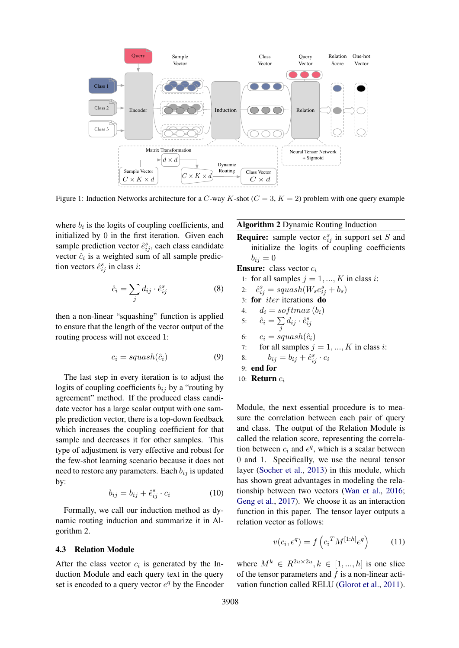<span id="page-4-0"></span>

Figure 1: Induction Networks architecture for a C-way K-shot  $(C = 3, K = 2)$  problem with one query example

where  $b_i$  is the logits of coupling coefficients, and initialized by 0 in the first iteration. Given each sample prediction vector  $\hat{e}_{ij}^s$ , each class candidate vector  $\hat{c}_i$  is a weighted sum of all sample prediction vectors  $\hat{e}_{ij}^s$  in class *i*:

$$
\hat{c}_i = \sum_j d_{ij} \cdot \hat{e}_{ij}^s \tag{8}
$$

then a non-linear "squashing" function is applied to ensure that the length of the vector output of the routing process will not exceed 1:

$$
c_i = squash(\hat{c}_i) \tag{9}
$$

The last step in every iteration is to adjust the logits of coupling coefficients  $b_{ij}$  by a "routing by agreement" method. If the produced class candidate vector has a large scalar output with one sample prediction vector, there is a top-down feedback which increases the coupling coefficient for that sample and decreases it for other samples. This type of adjustment is very effective and robust for the few-shot learning scenario because it does not need to restore any parameters. Each  $b_{ij}$  is updated by:

$$
b_{ij} = b_{ij} + \hat{e}_{ij}^s \cdot c_i \tag{10}
$$

Formally, we call our induction method as dynamic routing induction and summarize it in Algorithm 2.

#### 4.3 Relation Module

After the class vector  $c_i$  is generated by the Induction Module and each query text in the query set is encoded to a query vector  $e^q$  by the Encoder

### Algorithm 2 Dynamic Routing Induction

**Require:** sample vector  $e_{ij}^s$  in support set S and initialize the logits of coupling coefficients  $b_{ij} = 0$ 

**Ensure:** class vector  $c_i$ 

1: for all samples  $j = 1, ..., K$  in class i:

 $2:$  $s_{ij}^s = \frac{s}{W_s e_{ij}^s + b_s}$ 

3: for *iter* iterations do

4: 
$$
d_i = softmax(b_i)
$$

5:  $\hat{c}_i = \sum$  $\sum_j d_{ij} \cdot \hat{e}^s_{ij}$ 

6:  $c_i = squash(\hat{c}_i)$ 7: for all samples  $i = 1, ..., K$  in class i:

8: 
$$
b_{ij} = b_{ij} + \hat{e}_{ij}^s \cdot c_i
$$

9: end for

$$
10: \textbf{Return } c_i
$$

Module, the next essential procedure is to measure the correlation between each pair of query and class. The output of the Relation Module is called the relation score, representing the correlation between  $c_i$  and  $e^q$ , which is a scalar between 0 and 1. Specifically, we use the neural tensor layer [\(Socher et al.,](#page-9-9) [2013\)](#page-9-9) in this module, which has shown great advantages in modeling the relationship between two vectors [\(Wan et al.,](#page-9-10) [2016;](#page-9-10) [Geng et al.,](#page-8-11) [2017\)](#page-8-11). We choose it as an interaction function in this paper. The tensor layer outputs a relation vector as follows:

$$
v(c_i, e^q) = f\left(c_i^T M^{[1:h]} e^q\right) \tag{11}
$$

where  $M^k \in R^{2u \times 2u}, k \in [1, ..., h]$  is one slice of the tensor parameters and  $f$  is a non-linear activation function called RELU [\(Glorot et al.,](#page-8-12) [2011\)](#page-8-12).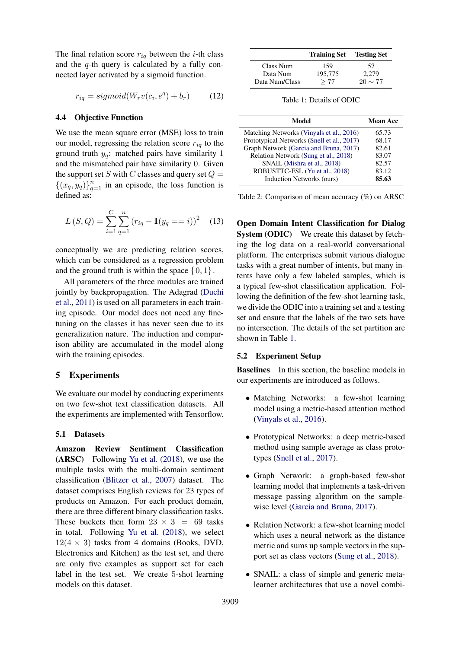The final relation score  $r_{iq}$  between the *i*-th class and the  $q$ -th query is calculated by a fully connected layer activated by a sigmoid function.

$$
r_{iq} = sigmoid(W_r v(c_i, e^q) + b_r)
$$
 (12)

#### 4.4 Objective Function

We use the mean square error (MSE) loss to train our model, regressing the relation score  $r_{iq}$  to the ground truth  $y_q$ : matched pairs have similarity 1 and the mismatched pair have similarity 0. Given the support set S with C classes and query set  $Q =$  $\{(x_q, y_q)\}_{q=1}^n$  in an episode, the loss function is defined as:

$$
L(S, Q) = \sum_{i=1}^{C} \sum_{q=1}^{n} (r_{iq} - \mathbf{1}(y_q == i))^2
$$
 (13)

conceptually we are predicting relation scores, which can be considered as a regression problem and the ground truth is within the space  $\{0, 1\}$ .

All parameters of the three modules are trained jointly by backpropagation. The Adagrad [\(Duchi](#page-8-13) [et al.,](#page-8-13) [2011\)](#page-8-13) is used on all parameters in each training episode. Our model does not need any finetuning on the classes it has never seen due to its generalization nature. The induction and comparison ability are accumulated in the model along with the training episodes.

### 5 Experiments

We evaluate our model by conducting experiments on two few-shot text classification datasets. All the experiments are implemented with Tensorflow.

# 5.1 Datasets

Amazon Review Sentiment Classification (ARSC) Following [Yu et al.](#page-9-5) [\(2018\)](#page-9-5), we use the multiple tasks with the multi-domain sentiment classification [\(Blitzer et al.,](#page-8-14) [2007\)](#page-8-14) dataset. The dataset comprises English reviews for 23 types of products on Amazon. For each product domain, there are three different binary classification tasks. These buckets then form  $23 \times 3 = 69$  tasks in total. Following [Yu et al.](#page-9-5) [\(2018\)](#page-9-5), we select  $12(4 \times 3)$  tasks from 4 domains (Books, DVD, Electronics and Kitchen) as the test set, and there are only five examples as support set for each label in the test set. We create 5-shot learning models on this dataset.

<span id="page-5-0"></span>

|                       | <b>Training Set</b> | <b>Testing Set</b> |
|-----------------------|---------------------|--------------------|
| Class Num<br>Data Num | 159<br>195,775      | 57<br>2.279        |
| Data Num/Class        | >77                 | $20 \sim 77$       |

Table 1: Details of ODIC

<span id="page-5-1"></span>

| Model                                      | <b>Mean Acc</b> |  |
|--------------------------------------------|-----------------|--|
| Matching Networks (Vinyals et al., 2016)   | 65.73           |  |
| Prototypical Networks (Snell et al., 2017) | 68.17           |  |
| Graph Network (Garcia and Bruna, 2017)     | 82.61           |  |
| Relation Network (Sung et al., 2018)       | 83.07           |  |
| SNAIL (Mishra et al., 2018)                | 82.57           |  |
| ROBUSTTC-FSL (Yu et al., 2018)             | 83.12           |  |
| Induction Networks (ours)                  | 85.63           |  |

Table 2: Comparison of mean accuracy (%) on ARSC

Open Domain Intent Classification for Dialog System (ODIC) We create this dataset by fetching the log data on a real-world conversational platform. The enterprises submit various dialogue tasks with a great number of intents, but many intents have only a few labeled samples, which is a typical few-shot classification application. Following the definition of the few-shot learning task, we divide the ODIC into a training set and a testing set and ensure that the labels of the two sets have no intersection. The details of the set partition are shown in Table [1.](#page-5-0)

### 5.2 Experiment Setup

Baselines In this section, the baseline models in our experiments are introduced as follows.

- Matching Networks: a few-shot learning model using a metric-based attention method [\(Vinyals et al.,](#page-9-3) [2016\)](#page-9-3).
- Prototypical Networks: a deep metric-based method using sample average as class prototypes [\(Snell et al.,](#page-9-1) [2017\)](#page-9-1).
- Graph Network: a graph-based few-shot learning model that implements a task-driven message passing algorithm on the samplewise level [\(Garcia and Bruna,](#page-8-15) [2017\)](#page-8-15).
- Relation Network: a few-shot learning model which uses a neural network as the distance metric and sums up sample vectors in the support set as class vectors [\(Sung et al.,](#page-9-2) [2018\)](#page-9-2).
- SNAIL: a class of simple and generic metalearner architectures that use a novel combi-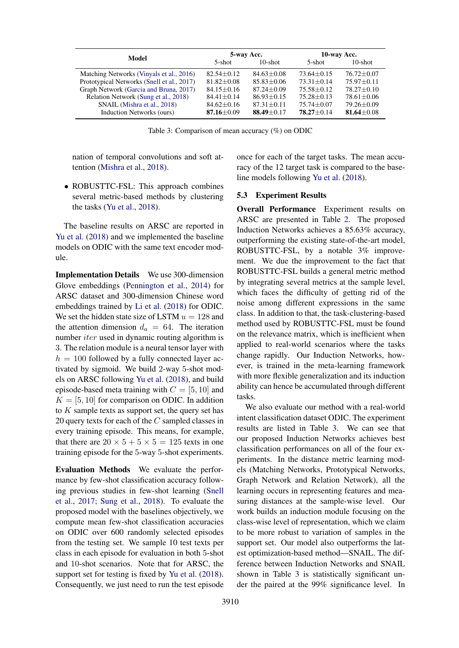<span id="page-6-0"></span>

| Model                                      | 5-way Acc.       |                | 10-way Acc.    |                  |
|--------------------------------------------|------------------|----------------|----------------|------------------|
|                                            | 5-shot           | $10$ -shot     | 5-shot         | $10$ -shot       |
| Matching Networks (Vinyals et al., 2016)   | $82.54 + 0.12$   | $84.63 + 0.08$ | $73.64 + 0.15$ | $76.72 + 0.07$   |
| Prototypical Networks (Snell et al., 2017) | $81.82 + 0.08$   | $85.83 + 0.06$ | $73.31 + 0.14$ | $75.97 + 0.11$   |
| Graph Network (Garcia and Bruna, 2017)     | $84.15 + 0.16$   | $87.24 + 0.09$ | $75.58 + 0.12$ | $78.27 + 0.10$   |
| Relation Network (Sung et al., 2018)       | $84.41 + 0.14$   | $86.93 + 0.15$ | $75.28 + 0.13$ | $78.61 \pm 0.06$ |
| SNAIL (Mishra et al., 2018)                | $84.62 \pm 0.16$ | $87.31 + 0.11$ | $75.74 + 0.07$ | $79.26 \pm 0.09$ |
| Induction Networks (ours)                  | 87.16 $\pm$ 0.09 | $88.49 + 0.17$ | $78.27 + 0.14$ | 81.64 $\pm$ 0.08 |

Table 3: Comparison of mean accuracy (%) on ODIC

nation of temporal convolutions and soft attention [\(Mishra et al.,](#page-8-7) [2018\)](#page-8-7).

• ROBUSTTC-FSL: This approach combines several metric-based methods by clustering the tasks [\(Yu et al.,](#page-9-5) [2018\)](#page-9-5).

The baseline results on ARSC are reported in [Yu et al.](#page-9-5) [\(2018\)](#page-9-5) and we implemented the baseline models on ODIC with the same text encoder module.

Implementation Details We use 300-dimension Glove embeddings [\(Pennington et al.,](#page-8-16) [2014\)](#page-8-16) for ARSC dataset and 300-dimension Chinese word embeddings trained by [Li et al.](#page-8-17) [\(2018\)](#page-8-17) for ODIC. We set the hidden state size of LSTM  $u = 128$  and the attention dimension  $d_a = 64$ . The iteration number *iter* used in dynamic routing algorithm is 3. The relation module is a neural tensor layer with  $h = 100$  followed by a fully connected layer activated by sigmoid. We build 2-way 5-shot models on ARSC following [Yu et al.](#page-9-5) [\(2018\)](#page-9-5), and build episode-based meta training with  $C = [5, 10]$  and  $K = [5, 10]$  for comparison on ODIC. In addition to  $K$  sample texts as support set, the query set has 20 query texts for each of the C sampled classes in every training episode. This means, for example, that there are  $20 \times 5 + 5 \times 5 = 125$  texts in one training episode for the 5-way 5-shot experiments.

Evaluation Methods We evaluate the performance by few-shot classification accuracy following previous studies in few-shot learning [\(Snell](#page-9-1) [et al.,](#page-9-1) [2017;](#page-9-1) [Sung et al.,](#page-9-2) [2018\)](#page-9-2). To evaluate the proposed model with the baselines objectively, we compute mean few-shot classification accuracies on ODIC over 600 randomly selected episodes from the testing set. We sample 10 test texts per class in each episode for evaluation in both 5-shot and 10-shot scenarios. Note that for ARSC, the support set for testing is fixed by [Yu et al.](#page-9-5) [\(2018\)](#page-9-5). Consequently, we just need to run the test episode once for each of the target tasks. The mean accuracy of the 12 target task is compared to the baseline models following [Yu et al.](#page-9-5) [\(2018\)](#page-9-5).

### 5.3 Experiment Results

Overall Performance Experiment results on ARSC are presented in Table [2.](#page-5-1) The proposed Induction Networks achieves a 85.63% accuracy, outperforming the existing state-of-the-art model, ROBUSTTC-FSL, by a notable 3% improvement. We due the improvement to the fact that ROBUSTTC-FSL builds a general metric method by integrating several metrics at the sample level, which faces the difficulty of getting rid of the noise among different expressions in the same class. In addition to that, the task-clustering-based method used by ROBUSTTC-FSL must be found on the relevance matrix, which is inefficient when applied to real-world scenarios where the tasks change rapidly. Our Induction Networks, however, is trained in the meta-learning framework with more flexible generalization and its induction ability can hence be accumulated through different tasks.

We also evaluate our method with a real-world intent classification dataset ODIC. The experiment results are listed in Table [3.](#page-6-0) We can see that our proposed Induction Networks achieves best classification performances on all of the four experiments. In the distance metric learning models (Matching Networks, Prototypical Networks, Graph Network and Relation Network), all the learning occurs in representing features and measuring distances at the sample-wise level. Our work builds an induction module focusing on the class-wise level of representation, which we claim to be more robust to variation of samples in the support set. Our model also outperforms the latest optimization-based method—SNAIL. The difference between Induction Networks and SNAIL shown in Table [3](#page-6-0) is statistically significant under the paired at the 99% significance level. In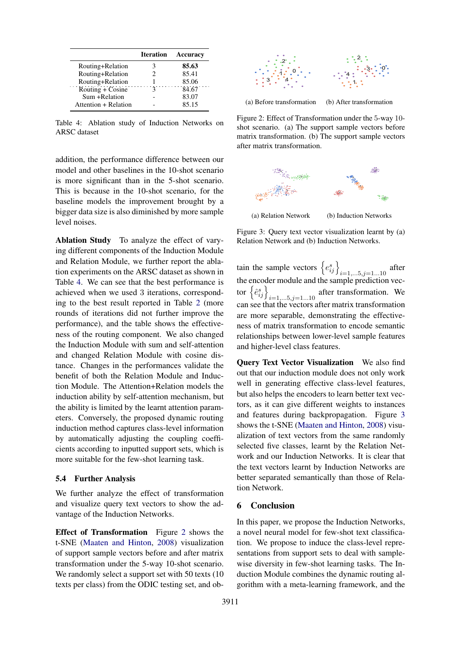<span id="page-7-0"></span>

|                      | <b>Iteration</b> | Accuracy |
|----------------------|------------------|----------|
| Routing+Relation     |                  | 85.63    |
| Routing+Relation     | 2                | 85.41    |
| Routing+Relation     |                  | 85.06    |
| Routing + Cosine     | ι                | 84.67    |
| Sum +Relation        |                  | 83.07    |
| Attention + Relation |                  | 85.15    |

Table 4: Ablation study of Induction Networks on ARSC dataset

addition, the performance difference between our model and other baselines in the 10-shot scenario is more significant than in the 5-shot scenario. This is because in the 10-shot scenario, for the baseline models the improvement brought by a bigger data size is also diminished by more sample level noises.

Ablation Study To analyze the effect of varying different components of the Induction Module and Relation Module, we further report the ablation experiments on the ARSC dataset as shown in Table [4.](#page-7-0) We can see that the best performance is achieved when we used 3 iterations, corresponding to the best result reported in Table [2](#page-5-1) (more rounds of iterations did not further improve the performance), and the table shows the effectiveness of the routing component. We also changed the Induction Module with sum and self-attention and changed Relation Module with cosine distance. Changes in the performances validate the benefit of both the Relation Module and Induction Module. The Attention+Relation models the induction ability by self-attention mechanism, but the ability is limited by the learnt attention parameters. Conversely, the proposed dynamic routing induction method captures class-level information by automatically adjusting the coupling coefficients according to inputted support sets, which is more suitable for the few-shot learning task.

#### 5.4 Further Analysis

We further analyze the effect of transformation and visualize query text vectors to show the advantage of the Induction Networks.

Effect of Transformation Figure [2](#page-7-1) shows the t-SNE [\(Maaten and Hinton,](#page-8-18) [2008\)](#page-8-18) visualization of support sample vectors before and after matrix transformation under the 5-way 10-shot scenario. We randomly select a support set with 50 texts (10) texts per class) from the ODIC testing set, and ob-

<span id="page-7-1"></span>

(a) Before transformation (b) After transformation

Figure 2: Effect of Transformation under the 5-way 10 shot scenario. (a) The support sample vectors before matrix transformation. (b) The support sample vectors after matrix transformation.

<span id="page-7-2"></span>

(a) Relation Network (b) Induction Networks

Figure 3: Query text vector visualization learnt by (a) Relation Network and (b) Induction Networks.

tain the sample vectors  $\left\{e_{ij}^s\right\}_{i=1,\dots 5, j=1\dots 10}$  after the encoder module and the sample prediction vector  $\left\{\hat{e}_{ij}^s\right\}_{i=1,...5,j=1...10}$  after transformation. We can see that the vectors after matrix transformation are more separable, demonstrating the effectiveness of matrix transformation to encode semantic relationships between lower-level sample features and higher-level class features.

Query Text Vector Visualization We also find out that our induction module does not only work well in generating effective class-level features, but also helps the encoders to learn better text vectors, as it can give different weights to instances and features during backpropagation. Figure [3](#page-7-2) shows the t-SNE [\(Maaten and Hinton,](#page-8-18) [2008\)](#page-8-18) visualization of text vectors from the same randomly selected five classes, learnt by the Relation Network and our Induction Networks. It is clear that the text vectors learnt by Induction Networks are better separated semantically than those of Relation Network.

### 6 Conclusion

In this paper, we propose the Induction Networks, a novel neural model for few-shot text classification. We propose to induce the class-level representations from support sets to deal with samplewise diversity in few-shot learning tasks. The Induction Module combines the dynamic routing algorithm with a meta-learning framework, and the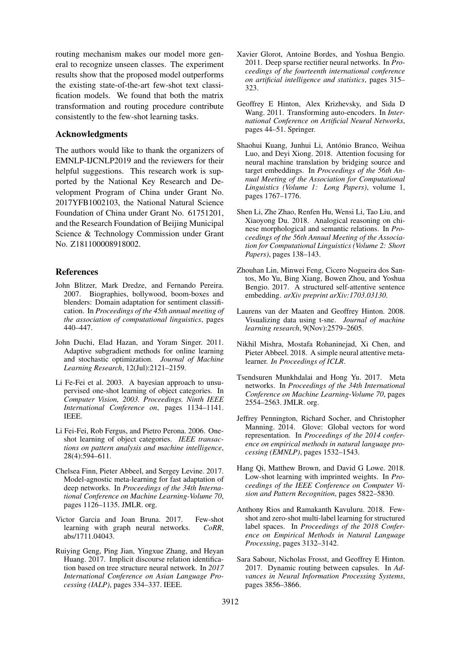routing mechanism makes our model more general to recognize unseen classes. The experiment results show that the proposed model outperforms the existing state-of-the-art few-shot text classification models. We found that both the matrix transformation and routing procedure contribute consistently to the few-shot learning tasks.

### Acknowledgments

The authors would like to thank the organizers of EMNLP-IJCNLP2019 and the reviewers for their helpful suggestions. This research work is supported by the National Key Research and Development Program of China under Grant No. 2017YFB1002103, the National Natural Science Foundation of China under Grant No. 61751201, and the Research Foundation of Beijing Municipal Science & Technology Commission under Grant No. Z181100008918002.

#### References

- <span id="page-8-14"></span>John Blitzer, Mark Dredze, and Fernando Pereira. 2007. Biographies, bollywood, boom-boxes and blenders: Domain adaptation for sentiment classification. In *Proceedings of the 45th annual meeting of the association of computational linguistics*, pages 440–447.
- <span id="page-8-13"></span>John Duchi, Elad Hazan, and Yoram Singer. 2011. Adaptive subgradient methods for online learning and stochastic optimization. *Journal of Machine Learning Research*, 12(Jul):2121–2159.
- <span id="page-8-6"></span>Li Fe-Fei et al. 2003. A bayesian approach to unsupervised one-shot learning of object categories. In *Computer Vision, 2003. Proceedings. Ninth IEEE International Conference on*, pages 1134–1141. IEEE.
- <span id="page-8-2"></span>Li Fei-Fei, Rob Fergus, and Pietro Perona. 2006. Oneshot learning of object categories. *IEEE transactions on pattern analysis and machine intelligence*, 28(4):594–611.
- <span id="page-8-1"></span>Chelsea Finn, Pieter Abbeel, and Sergey Levine. 2017. Model-agnostic meta-learning for fast adaptation of deep networks. In *Proceedings of the 34th International Conference on Machine Learning-Volume 70*, pages 1126–1135. JMLR. org.
- <span id="page-8-15"></span>Victor Garcia and Joan Bruna. 2017. Few-shot learning with graph neural networks. *CoRR*, abs/1711.04043.
- <span id="page-8-11"></span>Ruiying Geng, Ping Jian, Yingxue Zhang, and Heyan Huang. 2017. Implicit discourse relation identification based on tree structure neural network. In *2017 International Conference on Asian Language Processing (IALP)*, pages 334–337. IEEE.
- <span id="page-8-12"></span>Xavier Glorot, Antoine Bordes, and Yoshua Bengio. 2011. Deep sparse rectifier neural networks. In *Proceedings of the fourteenth international conference on artificial intelligence and statistics*, pages 315– 323.
- <span id="page-8-10"></span>Geoffrey E Hinton, Alex Krizhevsky, and Sida D Wang. 2011. Transforming auto-encoders. In *International Conference on Artificial Neural Networks*, pages 44–51. Springer.
- <span id="page-8-0"></span>Shaohui Kuang, Junhui Li, António Branco, Weihua Luo, and Deyi Xiong. 2018. Attention focusing for neural machine translation by bridging source and target embeddings. In *Proceedings of the 56th Annual Meeting of the Association for Computational Linguistics (Volume 1: Long Papers)*, volume 1, pages 1767–1776.
- <span id="page-8-17"></span>Shen Li, Zhe Zhao, Renfen Hu, Wensi Li, Tao Liu, and Xiaoyong Du. 2018. Analogical reasoning on chinese morphological and semantic relations. In *Proceedings of the 56th Annual Meeting of the Association for Computational Linguistics (Volume 2: Short Papers)*, pages 138–143.
- <span id="page-8-9"></span>Zhouhan Lin, Minwei Feng, Cicero Nogueira dos Santos, Mo Yu, Bing Xiang, Bowen Zhou, and Yoshua Bengio. 2017. A structured self-attentive sentence embedding. *arXiv preprint arXiv:1703.03130*.
- <span id="page-8-18"></span>Laurens van der Maaten and Geoffrey Hinton. 2008. Visualizing data using t-sne. *Journal of machine learning research*, 9(Nov):2579–2605.
- <span id="page-8-7"></span>Nikhil Mishra, Mostafa Rohaninejad, Xi Chen, and Pieter Abbeel. 2018. A simple neural attentive metalearner. *In Proceedings of ICLR*.
- <span id="page-8-3"></span>Tsendsuren Munkhdalai and Hong Yu. 2017. Meta networks. In *Proceedings of the 34th International Conference on Machine Learning-Volume 70*, pages 2554–2563. JMLR. org.
- <span id="page-8-16"></span>Jeffrey Pennington, Richard Socher, and Christopher Manning. 2014. Glove: Global vectors for word representation. In *Proceedings of the 2014 conference on empirical methods in natural language processing (EMNLP)*, pages 1532–1543.
- <span id="page-8-4"></span>Hang Qi, Matthew Brown, and David G Lowe. 2018. Low-shot learning with imprinted weights. In *Proceedings of the IEEE Conference on Computer Vision and Pattern Recognition*, pages 5822–5830.
- <span id="page-8-8"></span>Anthony Rios and Ramakanth Kavuluru. 2018. Fewshot and zero-shot multi-label learning for structured label spaces. In *Proceedings of the 2018 Conference on Empirical Methods in Natural Language Processing*, pages 3132–3142.
- <span id="page-8-5"></span>Sara Sabour, Nicholas Frosst, and Geoffrey E Hinton. 2017. Dynamic routing between capsules. In *Advances in Neural Information Processing Systems*, pages 3856–3866.